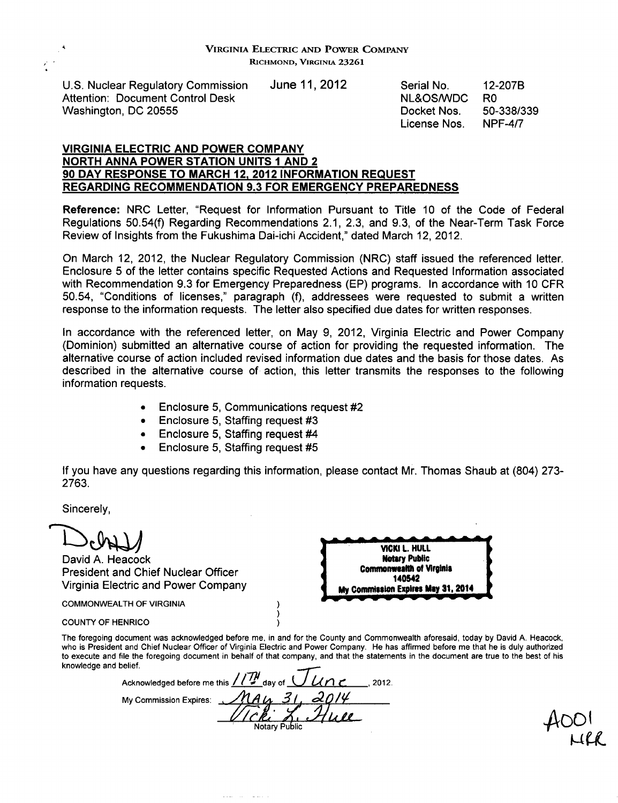U.S. Nuclear Regulatory Commission June 11, 2012 Serial No. 12-207B Attention: Document Control Desk NL&OS/WDC R0 Washington, DC 20555 **Docket Nos.** 50-338/339

License Nos. NPF-4/7

#### VIRGINIA ELECTRIC **AND** POWER COMPANY NORTH **ANNA** POWER **STATION UNITS 1 AND** 2 **90** DAY **RESPONSE** TO MARCH **12.** 2012 INFORMATION **REQUEST** REGARDING **RECOMMENDATION 9.3** FOR EMERGENCY PREPAREDNESS

Reference: NRC Letter, "Request for Information Pursuant to Title 10 of the Code of Federal Regulations 50.54(f) Regarding Recommendations 2.1, 2.3, and 9.3, of the Near-Term Task Force Review of Insights from the Fukushima Dai-ichi Accident," dated March 12, 2012.

On March 12, 2012, the Nuclear Regulatory Commission (NRC) staff issued the referenced letter. Enclosure **5** of the letter contains specific Requested Actions and Requested Information associated with Recommendation 9.3 for Emergency Preparedness (EP) programs. In accordance with 10 CFR 50.54, "Conditions of licenses," paragraph (f), addressees were requested to submit a written response to the information requests. The letter also specified due dates for written responses.

In accordance with the referenced letter, on May 9, 2012, Virginia Electric and Power Company (Dominion) submitted an alternative course of action for providing the requested information. The alternative course of action included revised information due dates and the basis for those dates. As described in the alternative course of action, this letter transmits the responses to the following information requests.

- **"** Enclosure 5, Communications request #2
- Enclosure 5, Staffing request #3
- **"** Enclosure 5, Staffing request #4
- Enclosure 5, Staffing request #5

If you have any questions regarding this information, please contact Mr. Thomas Shaub at (804) 273- 2763.

Sincerely,

David A. Heacock **Motary Public Motary Public Motary Public Motary Public Motary Public President and Chief Nuclear Officer Commonweard Commonweard 140542 1405-1405 Virginia Electric and Power Company <b>MY Commission Expires May 31, 2014** 

COMMONWEALTH OF VIRGINIA



COUNTY OF HENRICO

The foregoing document was acknowledged before me, in and for the County and Commonwealth aforesaid, today by David A. Heacock, who is President and Chief Nuclear Officer of Virginia Electric and Power Company. He has affirmed before me that he is duly authorized to execute and file the foregoing document in behalf of that company, and that the statements in the document are true to the best of his knowledge and belief.

Acknowledged before me this  $/$ / $\frac{1}{2}$  day of  $\frac{1}{2}$  / $\frac{1}{2}$  , 2012. **My Commission Expires:**  $\frac{R}{N}$  A  $\frac{A}{N}$   $\frac{A}{N}$ 

 $\lambda$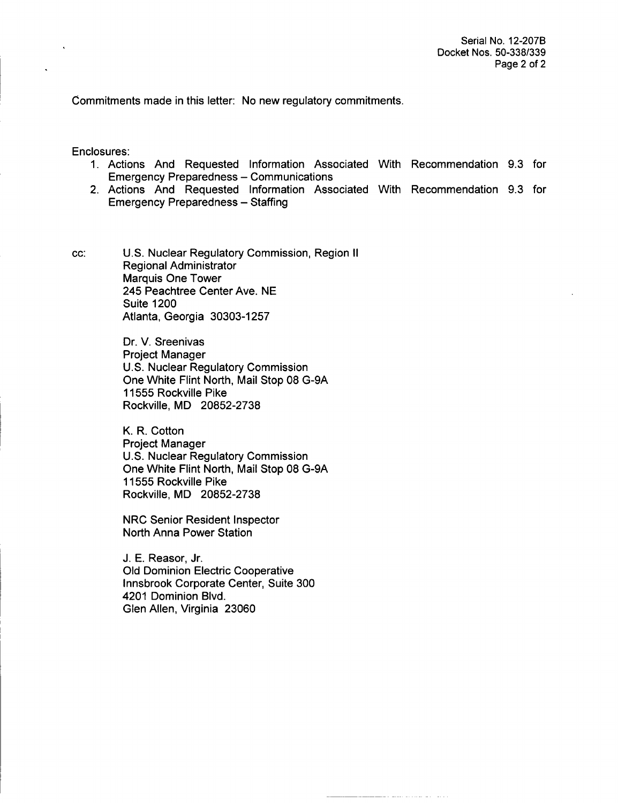Commitments made in this letter: No new regulatory commitments.

Enclosures:

- 1. Actions And Requested Information Associated With Recommendation 9.3 for **Emergency Preparedness - Communications**
- 2. Actions And Requested Information Associated With Recommendation 9.3 for **Emergency Preparedness - Staffing**

cc: U.S. Nuclear Regulatory Commission, Region II Regional Administrator Marquis One Tower 245 Peachtree Center Ave. NE Suite 1200 Atlanta, Georgia 30303-1257

> Dr. V. Sreenivas Project Manager U.S. Nuclear Regulatory Commission One White Flint North, Mail Stop 08 G-9A 11555 Rockville Pike Rockville, MD 20852-2738

> K. R. Cotton Project Manager U.S. Nuclear Regulatory Commission One White Flint North, Mail Stop 08 G-9A 11555 Rockville Pike Rockville, MD 20852-2738

NRC Senior Resident Inspector North Anna Power Station

J. E. Reasor, Jr. Old Dominion Electric Cooperative Innsbrook Corporate Center, Suite 300 4201 Dominion Blvd. Glen Allen, Virginia 23060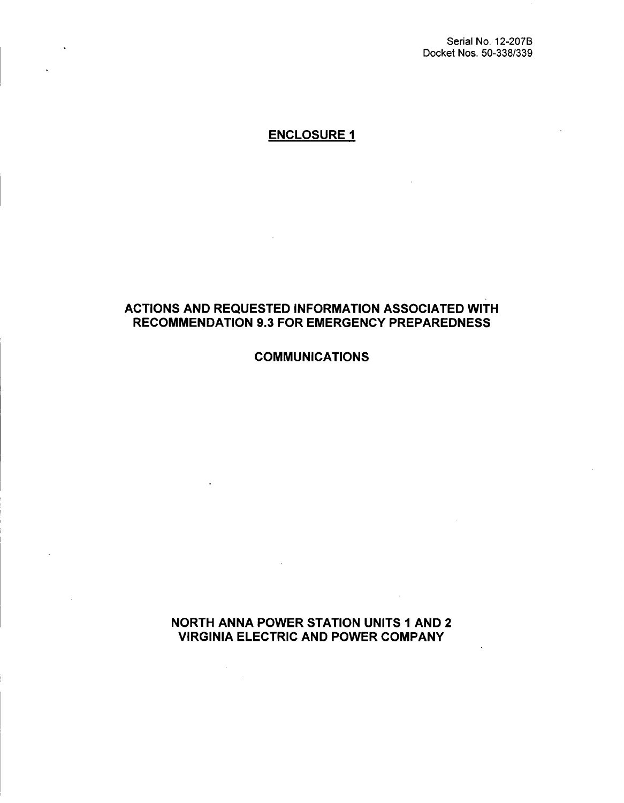Serial No. 12-207B Docket Nos. 50-338/339

### ENCLOSURE **I**

### ACTIONS AND REQUESTED INFORMATION ASSOCIATED WITH RECOMMENDATION 9.3 FOR EMERGENCY PREPAREDNESS

**COMMUNICATIONS** 

NORTH ANNA POWER STATION UNITS **1** AND 2 VIRGINIA ELECTRIC AND POWER COMPANY

 $\mathcal{L}_{\mathcal{A}}$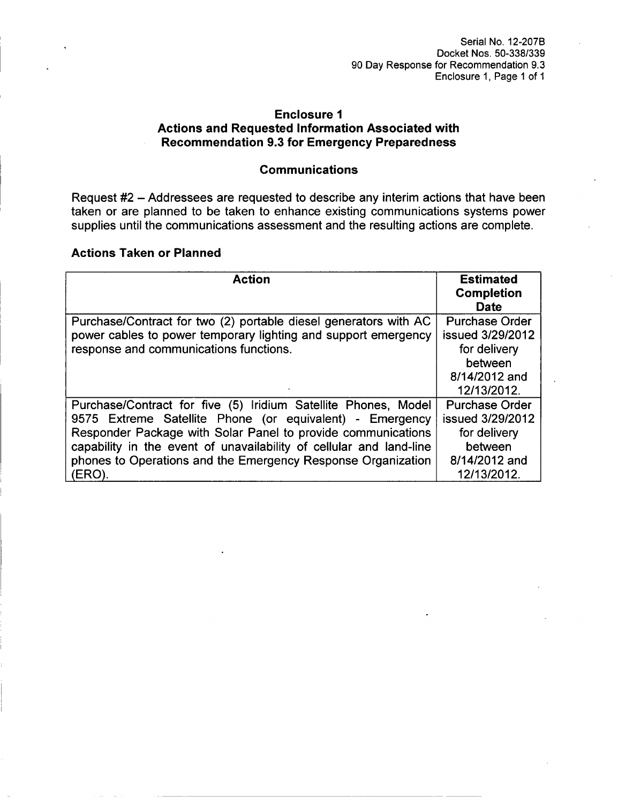### Enclosure **1** Actions and Requested Information Associated with Recommendation **9.3** for Emergency Preparedness

### Communications

Request #2 - Addressees are requested to describe any interim actions that have been taken or are planned to be taken to enhance existing communications systems power supplies until the communications assessment and the resulting actions are complete.

### Actions Taken or Planned

| <b>Action</b>                                                                                                                                                                                                                                                                                                                     | <b>Estimated</b><br><b>Completion</b><br><b>Date</b>                                  |
|-----------------------------------------------------------------------------------------------------------------------------------------------------------------------------------------------------------------------------------------------------------------------------------------------------------------------------------|---------------------------------------------------------------------------------------|
| Purchase/Contract for two (2) portable diesel generators with AC<br>power cables to power temporary lighting and support emergency                                                                                                                                                                                                | <b>Purchase Order</b><br>issued 3/29/2012                                             |
| response and communications functions.                                                                                                                                                                                                                                                                                            | for delivery<br>between<br>8/14/2012 and                                              |
|                                                                                                                                                                                                                                                                                                                                   | 12/13/2012.                                                                           |
| Purchase/Contract for five (5) Iridium Satellite Phones, Model<br>9575 Extreme Satellite Phone (or equivalent) - Emergency<br>Responder Package with Solar Panel to provide communications<br>capability in the event of unavailability of cellular and land-line<br>phones to Operations and the Emergency Response Organization | <b>Purchase Order</b><br>issued 3/29/2012<br>for delivery<br>between<br>8/14/2012 and |
| (ERO)                                                                                                                                                                                                                                                                                                                             | 12/13/2012.                                                                           |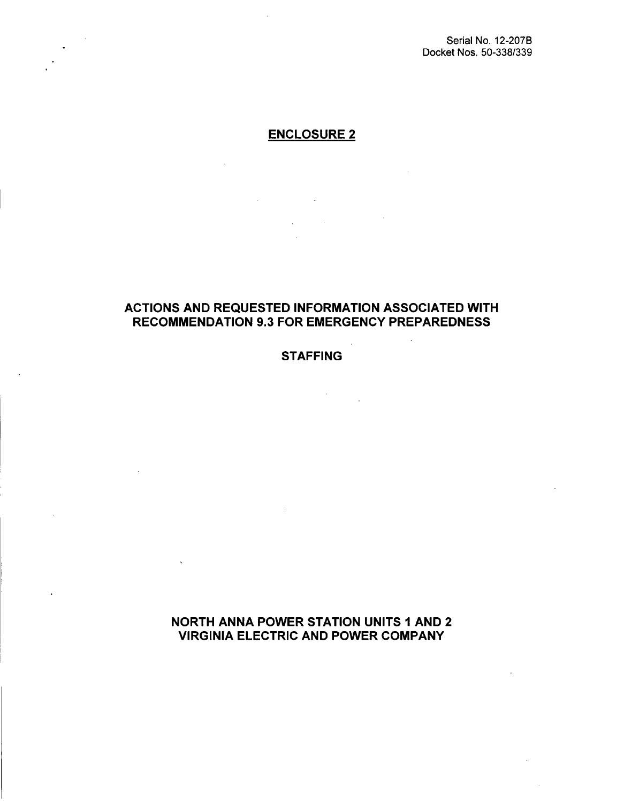## ENCLOSURE 2

 $\label{eq:2.1} \frac{1}{\sqrt{2}}\int_{\mathbb{R}^3}\frac{1}{\sqrt{2}}\left(\frac{1}{\sqrt{2}}\right)^2\frac{1}{\sqrt{2}}\left(\frac{1}{\sqrt{2}}\right)^2\frac{1}{\sqrt{2}}\left(\frac{1}{\sqrt{2}}\right)^2\frac{1}{\sqrt{2}}\left(\frac{1}{\sqrt{2}}\right)^2.$ 

 $\label{eq:2.1} \frac{1}{2} \int_{\mathbb{R}^3} \left| \frac{1}{\sqrt{2}} \left( \frac{1}{\sqrt{2}} \right) \right|^2 \, d\mu = \frac{1}{2} \int_{\mathbb{R}^3} \left| \frac{1}{\sqrt{2}} \left( \frac{1}{\sqrt{2}} \right) \right|^2 \, d\mu = \frac{1}{2} \int_{\mathbb{R}^3} \left| \frac{1}{\sqrt{2}} \right|^2 \, d\mu.$ 

in Li

### ACTIONS AND REQUESTED INFORMATION ASSOCIATED WITH RECOMMENDATION 9.3 FOR EMERGENCY PREPAREDNESS

### **STAFFING**

 $\mathbb{R}^2$ 

### NORTH ANNA POWER STATION UNITS **I** AND 2 VIRGINIA ELECTRIC AND POWER COMPANY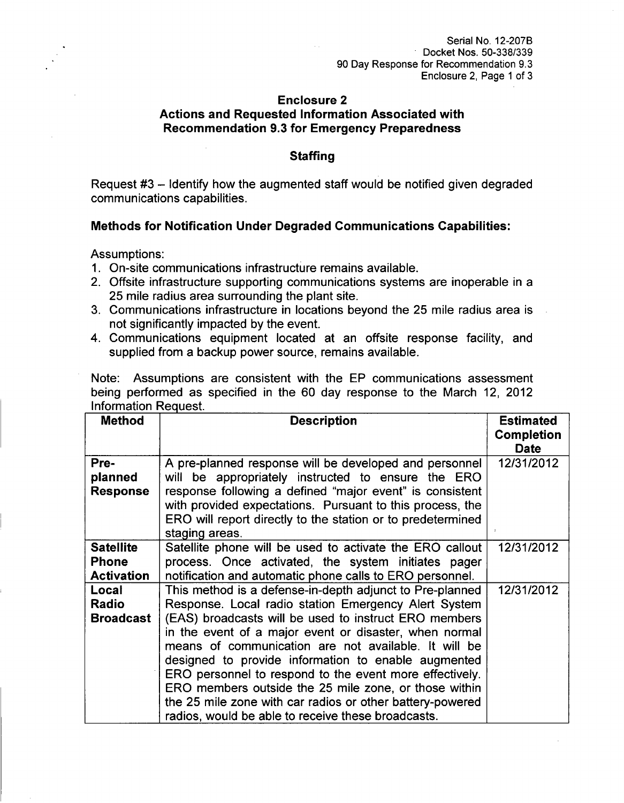### Enclosure 2 Actions and Requested Information Associated with Recommendation **9.3** for Emergency Preparedness

#### **Staffing**

Request #3 - Identify how the augmented staff would be notified given degraded communications capabilities.

### Methods for Notification Under Degraded Communications Capabilities:

Assumptions:

- 1. On-site communications infrastructure remains available.
- 2. Offsite infrastructure supporting communications systems are inoperable in a 25 mile radius area surrounding the plant site.
- 3. Communications infrastructure in locations beyond the 25 mile radius area is not significantly impacted by the event.
- 4. Communications equipment located at an offsite response facility, and supplied from a backup power source, remains available.

Note: Assumptions are consistent with the EP communications assessment being performed as specified in the 60 day response to the March 12, 2012 Information Request.

| <b>Method</b>                                         | <b>Description</b>                                                                                                                                                                                                                                                                                                                                                                                                                                                                                                                                                                        | <b>Estimated</b>                 |
|-------------------------------------------------------|-------------------------------------------------------------------------------------------------------------------------------------------------------------------------------------------------------------------------------------------------------------------------------------------------------------------------------------------------------------------------------------------------------------------------------------------------------------------------------------------------------------------------------------------------------------------------------------------|----------------------------------|
|                                                       |                                                                                                                                                                                                                                                                                                                                                                                                                                                                                                                                                                                           | <b>Completion</b><br><b>Date</b> |
| Pre-<br>planned<br><b>Response</b>                    | A pre-planned response will be developed and personnel<br>will be appropriately instructed to ensure the ERO<br>response following a defined "major event" is consistent<br>with provided expectations. Pursuant to this process, the<br>ERO will report directly to the station or to predetermined<br>staging areas.                                                                                                                                                                                                                                                                    | 12/31/2012                       |
| <b>Satellite</b><br><b>Phone</b><br><b>Activation</b> | Satellite phone will be used to activate the ERO callout<br>process. Once activated, the system initiates pager<br>notification and automatic phone calls to ERO personnel.                                                                                                                                                                                                                                                                                                                                                                                                               | 12/31/2012                       |
| Local<br><b>Radio</b><br><b>Broadcast</b>             | This method is a defense-in-depth adjunct to Pre-planned<br>Response. Local radio station Emergency Alert System<br>(EAS) broadcasts will be used to instruct ERO members<br>in the event of a major event or disaster, when normal<br>means of communication are not available. It will be<br>designed to provide information to enable augmented<br>ERO personnel to respond to the event more effectively.<br>ERO members outside the 25 mile zone, or those within<br>the 25 mile zone with car radios or other battery-powered<br>radios, would be able to receive these broadcasts. | 12/31/2012                       |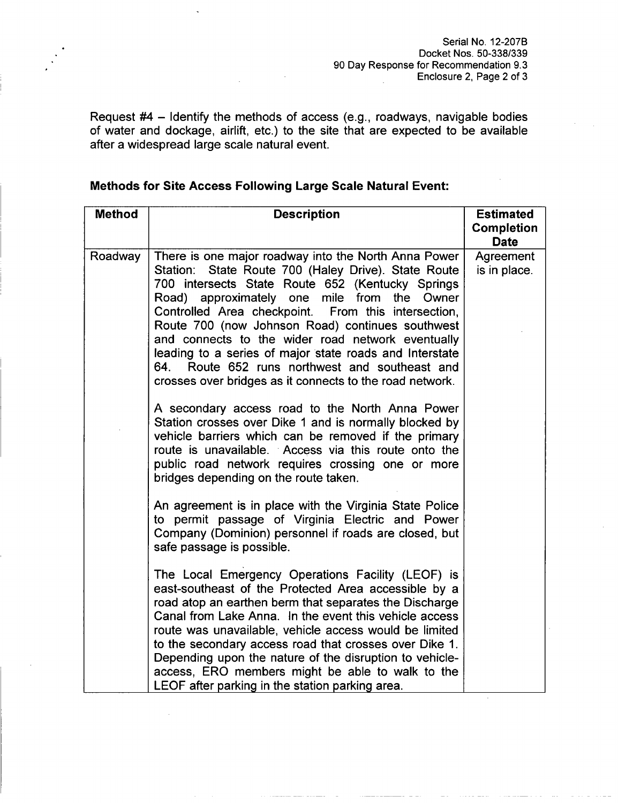Request #4 - Identify the methods of access (e.g., roadways, navigable bodies of water and dockage, airlift, etc.) to the site that are expected to be available after a widespread large scale natural event.

|  |  |  | <b>Methods for Site Access Following Large Scale Natural Event:</b> |  |  |  |  |
|--|--|--|---------------------------------------------------------------------|--|--|--|--|
|--|--|--|---------------------------------------------------------------------|--|--|--|--|

| <b>Method</b> | <b>Description</b>                                                                                                                                                                                                                                                                                                                                                                                                                                                                                                                                                                                                                                                                                                                                                                                                                                                                                                                                                                                                                                                                                  | <b>Estimated</b><br><b>Completion</b><br><b>Date</b> |
|---------------|-----------------------------------------------------------------------------------------------------------------------------------------------------------------------------------------------------------------------------------------------------------------------------------------------------------------------------------------------------------------------------------------------------------------------------------------------------------------------------------------------------------------------------------------------------------------------------------------------------------------------------------------------------------------------------------------------------------------------------------------------------------------------------------------------------------------------------------------------------------------------------------------------------------------------------------------------------------------------------------------------------------------------------------------------------------------------------------------------------|------------------------------------------------------|
| Roadway       | There is one major roadway into the North Anna Power<br>State Route 700 (Haley Drive). State Route<br>Station:<br>700 intersects State Route 652 (Kentucky Springs<br>Road) approximately one mile from<br>the<br>Owner<br>Controlled Area checkpoint. From this intersection,<br>Route 700 (now Johnson Road) continues southwest<br>and connects to the wider road network eventually<br>leading to a series of major state roads and Interstate<br>Route 652 runs northwest and southeast and<br>64.<br>crosses over bridges as it connects to the road network.<br>A secondary access road to the North Anna Power<br>Station crosses over Dike 1 and is normally blocked by<br>vehicle barriers which can be removed if the primary<br>route is unavailable. Access via this route onto the<br>public road network requires crossing one or more<br>bridges depending on the route taken.<br>An agreement is in place with the Virginia State Police<br>to permit passage of Virginia Electric and Power<br>Company (Dominion) personnel if roads are closed, but<br>safe passage is possible. | Agreement<br>is in place.                            |
|               | The Local Emergency Operations Facility (LEOF) is<br>east-southeast of the Protected Area accessible by a<br>road atop an earthen berm that separates the Discharge<br>Canal from Lake Anna. In the event this vehicle access<br>route was unavailable, vehicle access would be limited<br>to the secondary access road that crosses over Dike 1.<br>Depending upon the nature of the disruption to vehicle-<br>access, ERO members might be able to walk to the<br>LEOF after parking in the station parking area.                                                                                                                                                                                                                                                                                                                                                                                                                                                                                                                                                                                 |                                                      |